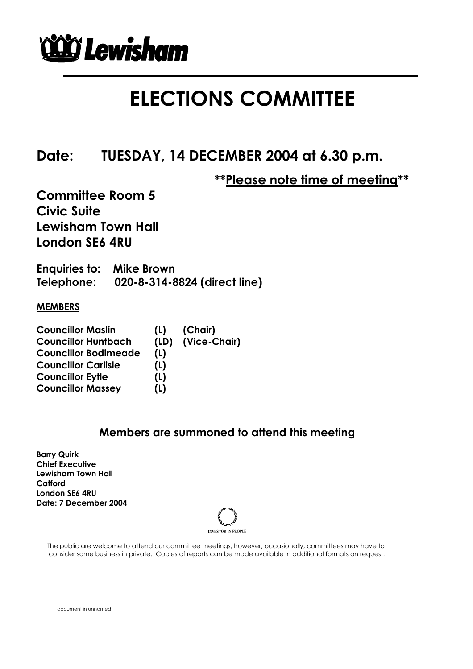

### **ELECTIONS COMMITTEE**

**Date: TUESDAY, 14 DECEMBER 2004 at 6.30 p.m.** 

 **\*\*Please note time of meeting\*\*** 

**Committee Room 5 Civic Suite Lewisham Town Hall London SE6 4RU** 

**Enquiries to: Mike Brown Telephone: 020-8-314-8824 (direct line)**

#### **MEMBERS**

| <b>Councillor Maslin</b>    | (L)  | (Chair)      |
|-----------------------------|------|--------------|
| <b>Councillor Huntbach</b>  | (ID) | (Vice-Chair) |
| <b>Councillor Bodimeade</b> | (L)  |              |
| <b>Councillor Carlisle</b>  | (L)  |              |
| <b>Councillor Eytle</b>     | (L)  |              |
| <b>Councillor Massey</b>    | (L)  |              |

#### **Members are summoned to attend this meeting**

**Barry Quirk Chief Executive Lewisham Town Hall Catford London SE6 4RU Date: 7 December 2004**



 The public are welcome to attend our committee meetings, however, occasionally, committees may have to consider some business in private. Copies of reports can be made available in additional formats on request.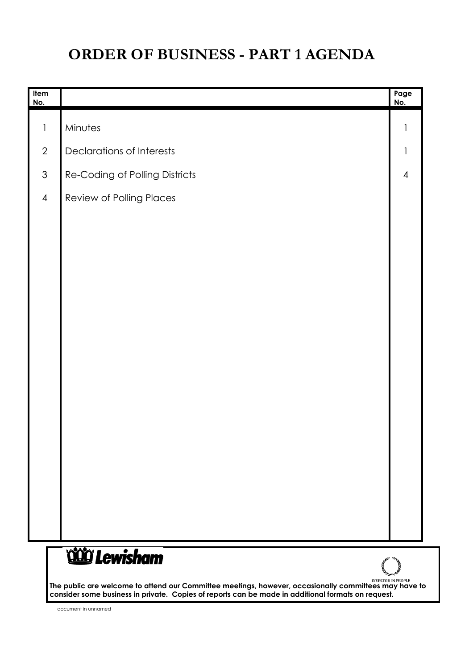### **ORDER OF BUSINESS - PART 1 AGENDA**

| Item<br><u>No.</u> |                                  | Page<br>No.              |
|--------------------|----------------------------------|--------------------------|
| $\mathbf{1}$       | Minutes                          |                          |
| $\overline{2}$     | <b>Declarations of Interests</b> | $\mathbf{I}$             |
| $\mathfrak{S}$     | Re-Coding of Polling Districts   | $\overline{\mathcal{A}}$ |
| $\overline{4}$     | Review of Polling Places         |                          |
|                    |                                  |                          |
|                    |                                  |                          |
|                    |                                  |                          |
|                    |                                  |                          |
|                    |                                  |                          |
|                    |                                  |                          |
|                    |                                  |                          |
|                    |                                  |                          |
|                    |                                  |                          |
|                    |                                  |                          |
|                    |                                  |                          |
|                    |                                  |                          |
|                    |                                  |                          |
|                    |                                  |                          |
|                    | <b>COD</b> Lewisham              |                          |

**The public are welcome to attend our Committee meetings, however, occasionally committees may have to consider some business in private. Copies of reports can be made in additional formats on request.**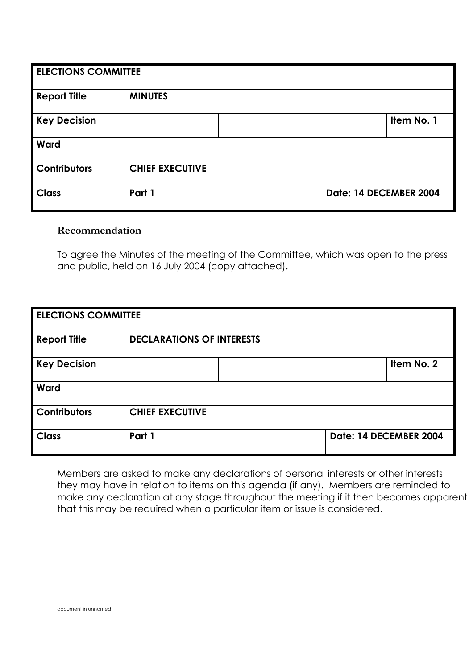| <b>ELECTIONS COMMITTEE</b> |                        |  |                        |            |  |  |
|----------------------------|------------------------|--|------------------------|------------|--|--|
| <b>Report Title</b>        | <b>MINUTES</b>         |  |                        |            |  |  |
| <b>Key Decision</b>        |                        |  |                        | Item No. 1 |  |  |
| Ward                       |                        |  |                        |            |  |  |
| <b>Contributors</b>        | <b>CHIEF EXECUTIVE</b> |  |                        |            |  |  |
| <b>Class</b>               | Part 1                 |  | Date: 14 DECEMBER 2004 |            |  |  |

#### **Recommendation**

To agree the Minutes of the meeting of the Committee, which was open to the press and public, held on 16 July 2004 (copy attached).

| <b>ELECTIONS COMMITTEE</b> |                                  |  |  |                        |  |
|----------------------------|----------------------------------|--|--|------------------------|--|
| <b>Report Title</b>        | <b>DECLARATIONS OF INTERESTS</b> |  |  |                        |  |
| <b>Key Decision</b>        |                                  |  |  | Item No. 2             |  |
| Ward                       |                                  |  |  |                        |  |
| Contributors               | <b>CHIEF EXECUTIVE</b>           |  |  |                        |  |
| <b>Class</b>               | Part 1                           |  |  | Date: 14 DECEMBER 2004 |  |

Members are asked to make any declarations of personal interests or other interests they may have in relation to items on this agenda (if any). Members are reminded to make any declaration at any stage throughout the meeting if it then becomes apparent that this may be required when a particular item or issue is considered.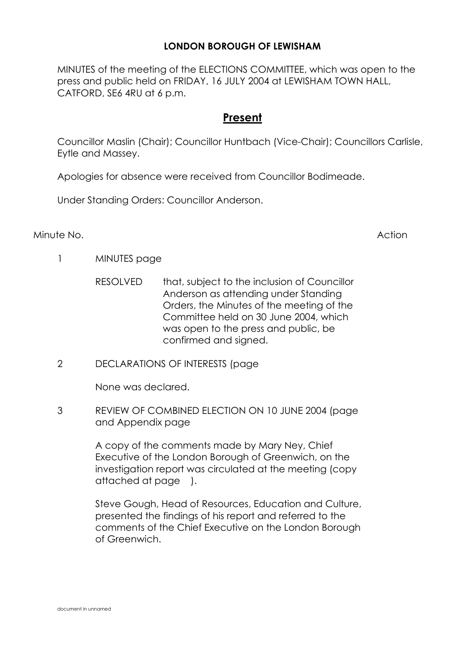#### **LONDON BOROUGH OF LEWISHAM**

MINUTES of the meeting of the ELECTIONS COMMITTEE, which was open to the press and public held on FRIDAY, 16 JULY 2004 at LEWISHAM TOWN HALL, CATFORD, SE6 4RU at 6 p.m.

#### **Present**

Councillor Maslin (Chair); Councillor Huntbach (Vice-Chair); Councillors Carlisle, Eytle and Massey.

Apologies for absence were received from Councillor Bodimeade.

Under Standing Orders: Councillor Anderson.

Minute No. Action

- 1 MINUTES page
	- RESOLVED that, subject to the inclusion of Councillor Anderson as attending under Standing Orders, the Minutes of the meeting of the Committee held on 30 June 2004, which was open to the press and public, be confirmed and signed.
- 2 DECLARATIONS OF INTERESTS (page

None was declared.

3 REVIEW OF COMBINED ELECTION ON 10 JUNE 2004 (page and Appendix page

> A copy of the comments made by Mary Ney, Chief Executive of the London Borough of Greenwich, on the investigation report was circulated at the meeting (copy attached at page ).

 Steve Gough, Head of Resources, Education and Culture, presented the findings of his report and referred to the comments of the Chief Executive on the London Borough of Greenwich.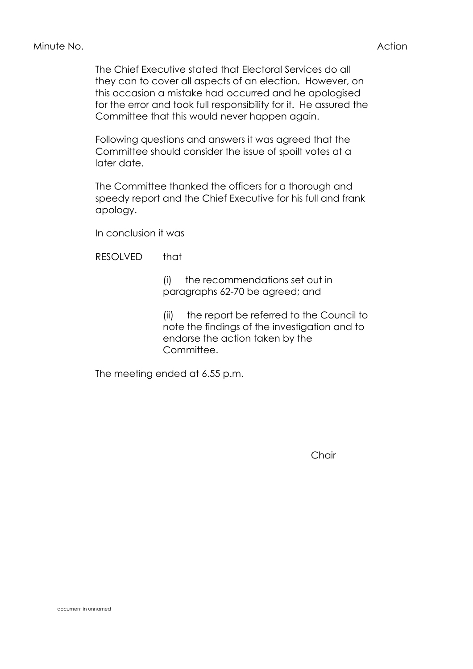The Chief Executive stated that Electoral Services do all they can to cover all aspects of an election. However, on this occasion a mistake had occurred and he apologised for the error and took full responsibility for it. He assured the Committee that this would never happen again.

 Following questions and answers it was agreed that the Committee should consider the issue of spoilt votes at a later date.

 The Committee thanked the officers for a thorough and speedy report and the Chief Executive for his full and frank apology.

In conclusion it was

RESOLVED that

 (i) the recommendations set out in paragraphs 62-70 be agreed; and

 (ii) the report be referred to the Council to note the findings of the investigation and to endorse the action taken by the Committee.

The meeting ended at 6.55 p.m.

Chair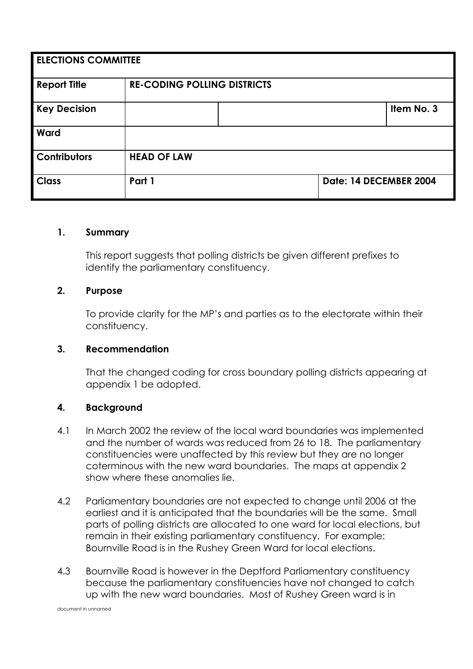| <b>ELECTIONS COMMITTEE</b> |                                    |  |                        |            |  |
|----------------------------|------------------------------------|--|------------------------|------------|--|
| <b>Report Title</b>        | <b>RE-CODING POLLING DISTRICTS</b> |  |                        |            |  |
| <b>Key Decision</b>        |                                    |  |                        | Item No. 3 |  |
| Ward                       |                                    |  |                        |            |  |
| <b>Contributors</b>        | <b>HEAD OF LAW</b>                 |  |                        |            |  |
| <b>Class</b>               | Part 1                             |  | Date: 14 DECEMBER 2004 |            |  |

#### **1. Summary**

 This report suggests that polling districts be given different prefixes to identify the parliamentary constituency.

#### **2. Purpose**

 To provide clarity for the MP's and parties as to the electorate within their constituency.

#### **3. Recommendation**

 That the changed coding for cross boundary polling districts appearing at appendix 1 be adopted.

#### **4. Background**

- 4.1 In March 2002 the review of the local ward boundaries was implemented and the number of wards was reduced from 26 to 18. The parliamentary constituencies were unaffected by this review but they are no longer coterminous with the new ward boundaries. The maps at appendix 2 show where these anomalies lie.
- 4.2 Parliamentary boundaries are not expected to change until 2006 at the earliest and it is anticipated that the boundaries will be the same. Small parts of polling districts are allocated to one ward for local elections, but remain in their existing parliamentary constituency. For example: Bournville Road is in the Rushey Green Ward for local elections.
- 4.3 Bournville Road is however in the Deptford Parliamentary constituency because the parliamentary constituencies have not changed to catch up with the new ward boundaries. Most of Rushey Green ward is in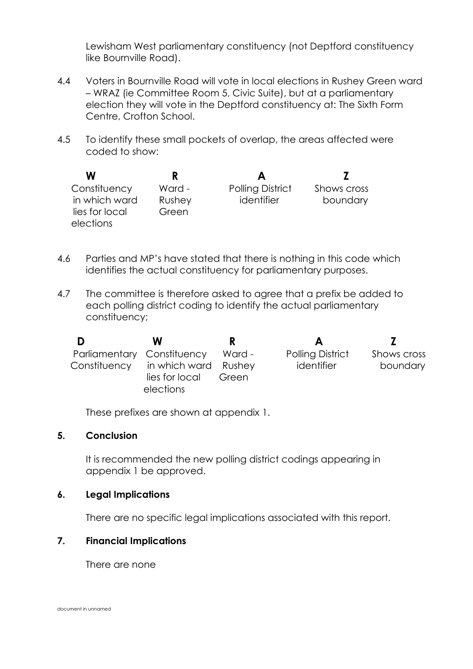Lewisham West parliamentary constituency (not Deptford constituency like Bournville Road).

- 4.4 Voters in Bournville Road will vote in local elections in Rushey Green ward – WRAZ (ie Committee Room 5, Civic Suite), but at a parliamentary election they will vote in the Deptford constituency at: The Sixth Form Centre, Crofton School.
- 4.5 To identify these small pockets of overlap, the areas affected were coded to show:

| W              |        |                         |             |
|----------------|--------|-------------------------|-------------|
| Constituency   | Ward - | <b>Polling District</b> | Shows cross |
| in which ward  | Rushey | identifier              | boundary    |
| lies for local | Green  |                         |             |
| elections      |        |                         |             |

- 4.6 Parties and MP's have stated that there is nothing in this code which identifies the actual constituency for parliamentary purposes.
- 4.7 The committee is therefore asked to agree that a prefix be added to each polling district coding to identify the actual parliamentary constituency;

| D            | w                          |        | A                       |             |
|--------------|----------------------------|--------|-------------------------|-------------|
|              | Parliamentary Constituency | Ward - | <b>Polling District</b> | Shows cross |
| Constituency | in which ward Rushey       |        | identifier              | boundary    |
|              | lies for local             | Green  |                         |             |
|              | elections                  |        |                         |             |

These prefixes are shown at appendix 1.

#### **5. Conclusion**

It is recommended the new polling district codings appearing in appendix 1 be approved.

#### **6. Legal Implications**

There are no specific legal implications associated with this report.

#### **7. Financial Implications**

There are none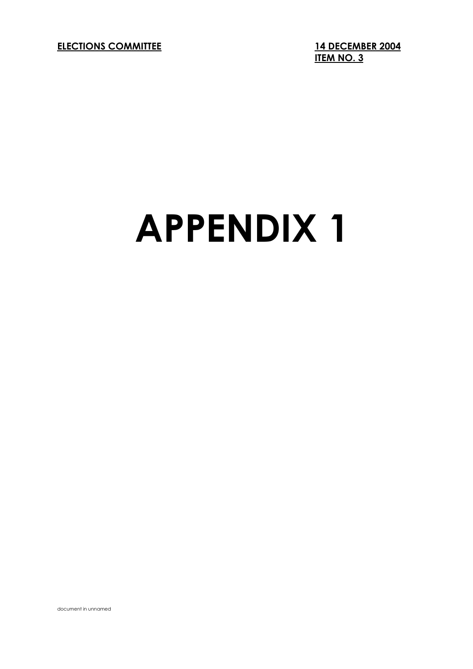**ELECTIONS COMMITTEE 14 DECEMBER 2004** 

**ITEM NO. 3**

# **APPENDIX 1**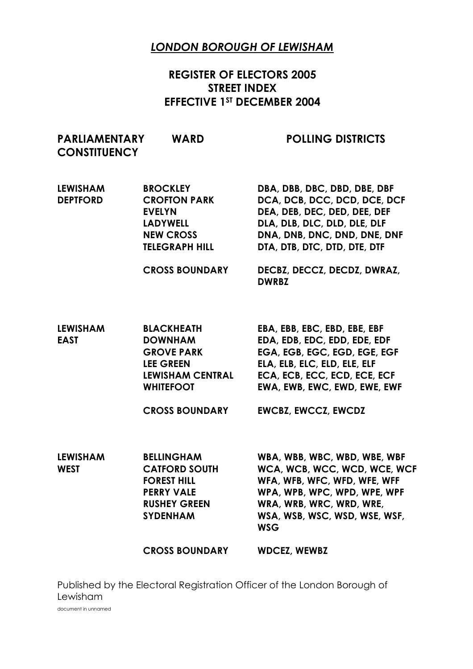#### *LONDON BOROUGH OF LEWISHAM*

#### **REGISTER OF ELECTORS 2005 STREET INDEX EFFECTIVE 1ST DECEMBER 2004**

| <b>PARLIAMENTARY</b><br><b>CONSTITUENCY</b> | <b>WARD</b>                                                                                                                                          | <b>POLLING DISTRICTS</b>                                                                                                                                                                                                   |
|---------------------------------------------|------------------------------------------------------------------------------------------------------------------------------------------------------|----------------------------------------------------------------------------------------------------------------------------------------------------------------------------------------------------------------------------|
| <b>LEWISHAM</b><br><b>DEPTFORD</b>          | <b>BROCKLEY</b><br><b>CROFTON PARK</b><br><b>EVELYN</b><br><b>LADYWELL</b><br><b>NEW CROSS</b><br><b>TELEGRAPH HILL</b>                              | DBA, DBB, DBC, DBD, DBE, DBF<br>DCA, DCB, DCC, DCD, DCE, DCF<br>DEA, DEB, DEC, DED, DEE, DEF<br>DLA, DLB, DLC, DLD, DLE, DLF<br>DNA, DNB, DNC, DND, DNE, DNF<br>DTA, DTB, DTC, DTD, DTE, DTF                               |
|                                             | <b>CROSS BOUNDARY</b>                                                                                                                                | DECBZ, DECCZ, DECDZ, DWRAZ,<br><b>DWRBZ</b>                                                                                                                                                                                |
| <b>LEWISHAM</b><br><b>EAST</b>              | <b>BLACKHEATH</b><br><b>DOWNHAM</b><br><b>GROVE PARK</b><br><b>LEE GREEN</b><br><b>LEWISHAM CENTRAL</b><br><b>WHITEFOOT</b><br><b>CROSS BOUNDARY</b> | EBA, EBB, EBC, EBD, EBE, EBF<br>EDA, EDB, EDC, EDD, EDE, EDF<br>EGA, EGB, EGC, EGD, EGE, EGF<br>ELA, ELB, ELC, ELD, ELE, ELF<br>ECA, ECB, ECC, ECD, ECE, ECF<br>EWA, EWB, EWC, EWD, EWE, EWF<br><b>EWCBZ, EWCCZ, EWCDZ</b> |
| <b>LEWISHAM</b><br><b>WEST</b>              | <b>BELLINGHAM</b><br><b>CATFORD SOUTH</b><br><b>FOREST HILL</b><br><b>PERRY VALE</b><br><b>RUSHEY GREEN</b><br><b>SYDENHAM</b>                       | WBA, WBB, WBC, WBD, WBE, WBF<br>WCA, WCB, WCC, WCD, WCE, WCF<br>WFA, WFB, WFC, WFD, WFE, WFF<br>WPA, WPB, WPC, WPD, WPE, WPF<br>WRA, WRB, WRC, WRD, WRE,<br>WSA, WSB, WSC, WSD, WSE, WSF,<br><b>WSG</b>                    |
|                                             | <b>CROSS BOUNDARY</b>                                                                                                                                | <b>WDCEZ, WEWBZ</b>                                                                                                                                                                                                        |

document in unnamed Published by the Electoral Registration Officer of the London Borough of Lewisham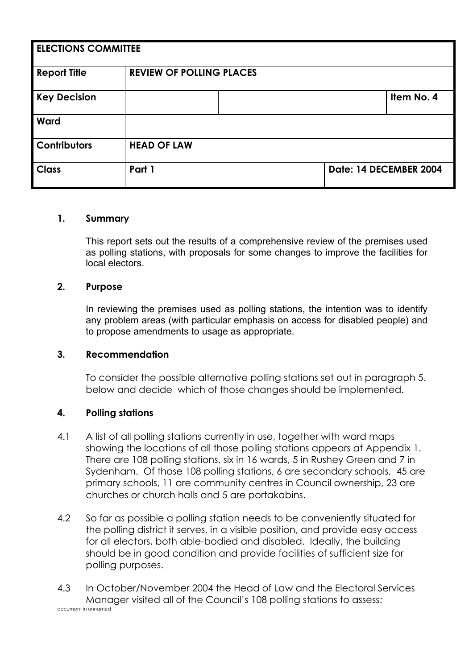| <b>ELECTIONS COMMITTEE</b> |                                 |  |                        |            |  |  |
|----------------------------|---------------------------------|--|------------------------|------------|--|--|
| <b>Report Title</b>        | <b>REVIEW OF POLLING PLACES</b> |  |                        |            |  |  |
| <b>Key Decision</b>        |                                 |  |                        | Item No. 4 |  |  |
| Ward                       |                                 |  |                        |            |  |  |
| Contributors               | <b>HEAD OF LAW</b>              |  |                        |            |  |  |
| <b>Class</b>               | Part 1                          |  | Date: 14 DECEMBER 2004 |            |  |  |

#### **1. Summary**

 This report sets out the results of a comprehensive review of the premises used as polling stations, with proposals for some changes to improve the facilities for local electors.

#### **2. Purpose**

 In reviewing the premises used as polling stations, the intention was to identify any problem areas (with particular emphasis on access for disabled people) and to propose amendments to usage as appropriate.

#### **3. Recommendation**

 To consider the possible alternative polling stations set out in paragraph 5. below and decide which of those changes should be implemented.

#### **4. Polling stations**

- 4.1 A list of all polling stations currently in use, together with ward maps showing the locations of all those polling stations appears at Appendix 1. There are 108 polling stations, six in 16 wards, 5 in Rushey Green and 7 in Sydenham. Of those 108 polling stations, 6 are secondary schools, 45 are primary schools, 11 are community centres in Council ownership, 23 are churches or church halls and 5 are portakabins.
- 4.2 So far as possible a polling station needs to be conveniently situated for the polling district it serves, in a visible position, and provide easy access for all electors, both able-bodied and disabled. Ideally, the building should be in good condition and provide facilities of sufficient size for polling purposes.

document in unnamed 4.3 In October/November 2004 the Head of Law and the Electoral Services Manager visited all of the Council's 108 polling stations to assess: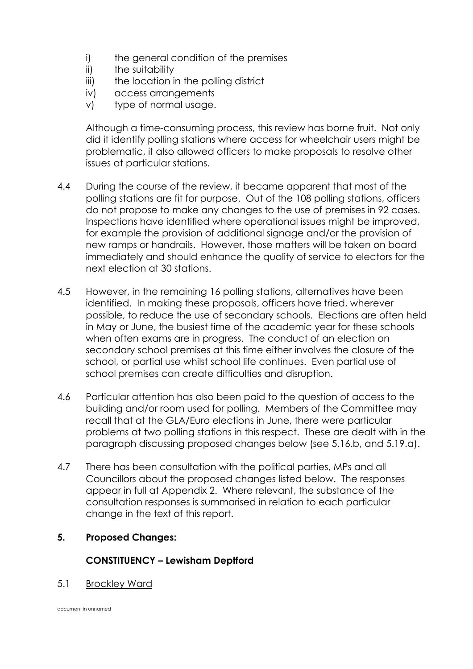- i) the general condition of the premises
- ii) the suitability
- iii) the location in the polling district
- iv) access arrangements
- v) type of normal usage.

 Although a time-consuming process, this review has borne fruit. Not only did it identify polling stations where access for wheelchair users might be problematic, it also allowed officers to make proposals to resolve other issues at particular stations.

- 4.4 During the course of the review, it became apparent that most of the polling stations are fit for purpose. Out of the 108 polling stations, officers do not propose to make any changes to the use of premises in 92 cases. Inspections have identified where operational issues might be improved, for example the provision of additional signage and/or the provision of new ramps or handrails. However, those matters will be taken on board immediately and should enhance the quality of service to electors for the next election at 30 stations.
- 4.5 However, in the remaining 16 polling stations, alternatives have been identified. In making these proposals, officers have tried, wherever possible, to reduce the use of secondary schools. Elections are often held in May or June, the busiest time of the academic year for these schools when often exams are in progress. The conduct of an election on secondary school premises at this time either involves the closure of the school, or partial use whilst school life continues. Even partial use of school premises can create difficulties and disruption.
- 4.6 Particular attention has also been paid to the question of access to the building and/or room used for polling. Members of the Committee may recall that at the GLA/Euro elections in June, there were particular problems at two polling stations in this respect. These are dealt with in the paragraph discussing proposed changes below (see 5.16.b, and 5.19.a).
- 4.7 There has been consultation with the political parties, MPs and all Councillors about the proposed changes listed below. The responses appear in full at Appendix 2. Where relevant, the substance of the consultation responses is summarised in relation to each particular change in the text of this report.

#### **5. Proposed Changes:**

#### **CONSTITUENCY – Lewisham Deptford**

5.1 Brockley Ward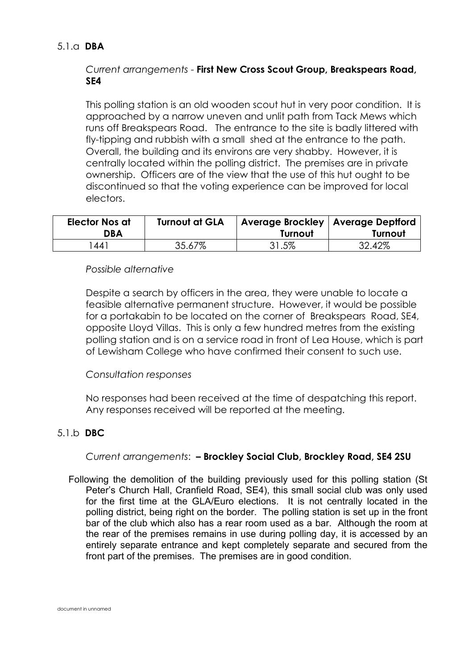#### 5.1.a **DBA**

#### *Current arrangements* - **First New Cross Scout Group, Breakspears Road, SE4**

 This polling station is an old wooden scout hut in very poor condition. It is approached by a narrow uneven and unlit path from Tack Mews which runs off Breakspears Road. The entrance to the site is badly littered with fly-tipping and rubbish with a small shed at the entrance to the path. Overall, the building and its environs are very shabby. However, it is centrally located within the polling district. The premises are in private ownership. Officers are of the view that the use of this hut ought to be discontinued so that the voting experience can be improved for local electors.

| <b>Elector Nos at</b><br>DBA | <b>Turnout at GLA</b> | Average Brockley   Average Deptford<br>Turnout | Turnout |
|------------------------------|-----------------------|------------------------------------------------|---------|
| '441                         | 35.67%                | 31.5%                                          | 32.42%  |

#### *Possible alternative*

 Despite a search by officers in the area, they were unable to locate a feasible alternative permanent structure. However, it would be possible for a portakabin to be located on the corner of Breakspears Road, SE4, opposite Lloyd Villas. This is only a few hundred metres from the existing polling station and is on a service road in front of Lea House, which is part of Lewisham College who have confirmed their consent to such use.

#### *Consultation responses*

 No responses had been received at the time of despatching this report. Any responses received will be reported at the meeting.

#### 5.1.b **DBC**

#### *Current arrangements*: **– Brockley Social Club, Brockley Road, SE4 2SU**

 Following the demolition of the building previously used for this polling station (St Peter's Church Hall, Cranfield Road, SE4), this small social club was only used for the first time at the GLA/Euro elections. It is not centrally located in the polling district, being right on the border. The polling station is set up in the front bar of the club which also has a rear room used as a bar. Although the room at the rear of the premises remains in use during polling day, it is accessed by an entirely separate entrance and kept completely separate and secured from the front part of the premises. The premises are in good condition.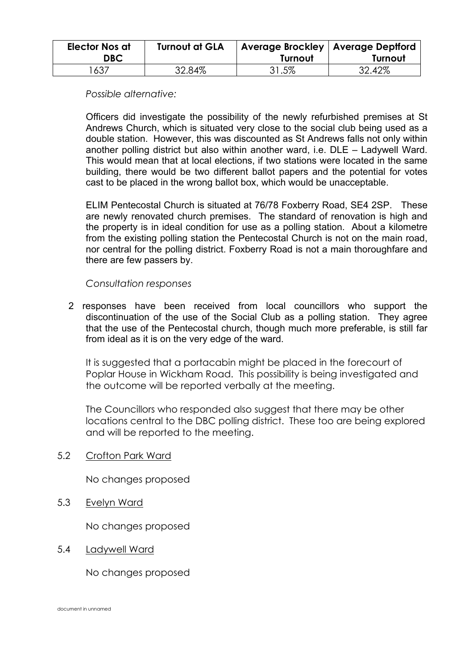| <b>Elector Nos at</b><br>DBC. | <b>Turnout at GLA</b> | Average Brockley   Average Deptford<br>Turnout | Turnout |
|-------------------------------|-----------------------|------------------------------------------------|---------|
| 637                           | 32.84%                | 31.5%                                          | 32.42%  |

 *Possible alternative:* 

 Officers did investigate the possibility of the newly refurbished premises at St Andrews Church, which is situated very close to the social club being used as a double station. However, this was discounted as St Andrews falls not only within another polling district but also within another ward, i.e. DLE – Ladywell Ward. This would mean that at local elections, if two stations were located in the same building, there would be two different ballot papers and the potential for votes cast to be placed in the wrong ballot box, which would be unacceptable.

 ELIM Pentecostal Church is situated at 76/78 Foxberry Road, SE4 2SP. These are newly renovated church premises. The standard of renovation is high and the property is in ideal condition for use as a polling station. About a kilometre from the existing polling station the Pentecostal Church is not on the main road, nor central for the polling district. Foxberry Road is not a main thoroughfare and there are few passers by.

 *Consultation responses* 

 2 responses have been received from local councillors who support the discontinuation of the use of the Social Club as a polling station. They agree that the use of the Pentecostal church, though much more preferable, is still far from ideal as it is on the very edge of the ward.

 It is suggested that a portacabin might be placed in the forecourt of Poplar House in Wickham Road. This possibility is being investigated and the outcome will be reported verbally at the meeting.

 The Councillors who responded also suggest that there may be other locations central to the DBC polling district. These too are being explored and will be reported to the meeting.

5.2 Crofton Park Ward

No changes proposed

5.3 Evelyn Ward

No changes proposed

5.4 Ladywell Ward

No changes proposed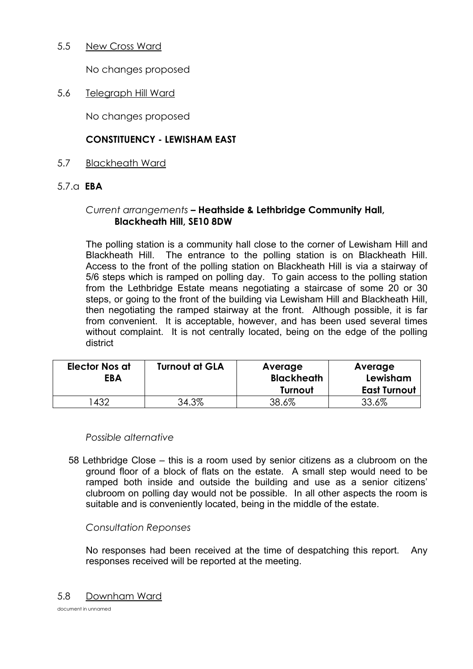#### 5.5 New Cross Ward

No changes proposed

5.6 Telegraph Hill Ward

No changes proposed

#### **CONSTITUENCY - LEWISHAM EAST**

5.7 Blackheath Ward

#### 5.7.a **EBA**

#### *Current arrangements* **– Heathside & Lethbridge Community Hall, Blackheath Hill, SE10 8DW**

 The polling station is a community hall close to the corner of Lewisham Hill and Blackheath Hill. The entrance to the polling station is on Blackheath Hill. Access to the front of the polling station on Blackheath Hill is via a stairway of 5/6 steps which is ramped on polling day. To gain access to the polling station from the Lethbridge Estate means negotiating a staircase of some 20 or 30 steps, or going to the front of the building via Lewisham Hill and Blackheath Hill, then negotiating the ramped stairway at the front. Although possible, it is far from convenient. It is acceptable, however, and has been used several times without complaint. It is not centrally located, being on the edge of the polling district

| <b>Elector Nos at</b><br><b>EBA</b> | <b>Turnout at GLA</b> | Average<br><b>Blackheath</b><br>Turnout | Average<br>Lewisham<br><b>East Turnout</b> |
|-------------------------------------|-----------------------|-----------------------------------------|--------------------------------------------|
| 432                                 | 34.3%                 | 38.6%                                   | 33.6%                                      |

#### *Possible alternative*

 58 Lethbridge Close – this is a room used by senior citizens as a clubroom on the ground floor of a block of flats on the estate. A small step would need to be ramped both inside and outside the building and use as a senior citizens' clubroom on polling day would not be possible. In all other aspects the room is suitable and is conveniently located, being in the middle of the estate.

#### *Consultation Reponses*

 No responses had been received at the time of despatching this report. Any responses received will be reported at the meeting.

#### 5.8 Downham Ward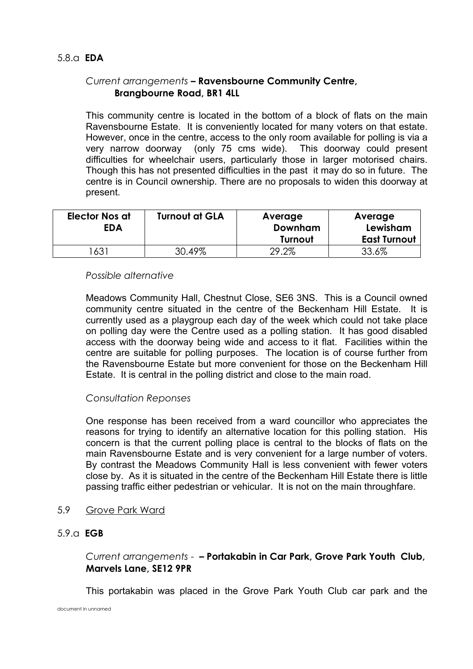#### *Current arrangements* **– Ravensbourne Community Centre, Brangbourne Road, BR1 4LL**

 This community centre is located in the bottom of a block of flats on the main Ravensbourne Estate. It is conveniently located for many voters on that estate. However, once in the centre, access to the only room available for polling is via a very narrow doorway (only 75 cms wide). This doorway could present difficulties for wheelchair users, particularly those in larger motorised chairs. Though this has not presented difficulties in the past it may do so in future. The centre is in Council ownership. There are no proposals to widen this doorway at present.

| <b>Elector Nos at</b><br>EDA | <b>Turnout at GLA</b> | Average<br>Downham | Average<br>Lewisham |
|------------------------------|-----------------------|--------------------|---------------------|
|                              |                       | Turnout            | <b>East Turnout</b> |
| 631                          | 30.49%                | 29.2%              | 33.6%               |

#### *Possible alternative*

 Meadows Community Hall, Chestnut Close, SE6 3NS. This is a Council owned community centre situated in the centre of the Beckenham Hill Estate. It is currently used as a playgroup each day of the week which could not take place on polling day were the Centre used as a polling station. It has good disabled access with the doorway being wide and access to it flat. Facilities within the centre are suitable for polling purposes. The location is of course further from the Ravensbourne Estate but more convenient for those on the Beckenham Hill Estate. It is central in the polling district and close to the main road.

#### *Consultation Reponses*

 One response has been received from a ward councillor who appreciates the reasons for trying to identify an alternative location for this polling station. His concern is that the current polling place is central to the blocks of flats on the main Ravensbourne Estate and is very convenient for a large number of voters. By contrast the Meadows Community Hall is less convenient with fewer voters close by. As it is situated in the centre of the Beckenham Hill Estate there is little passing traffic either pedestrian or vehicular. It is not on the main throughfare.

- 5.9 Grove Park Ward
- 5.9.a **EGB**

#### *Current arrangements* - **– Portakabin in Car Park, Grove Park Youth Club, Marvels Lane, SE12 9PR**

This portakabin was placed in the Grove Park Youth Club car park and the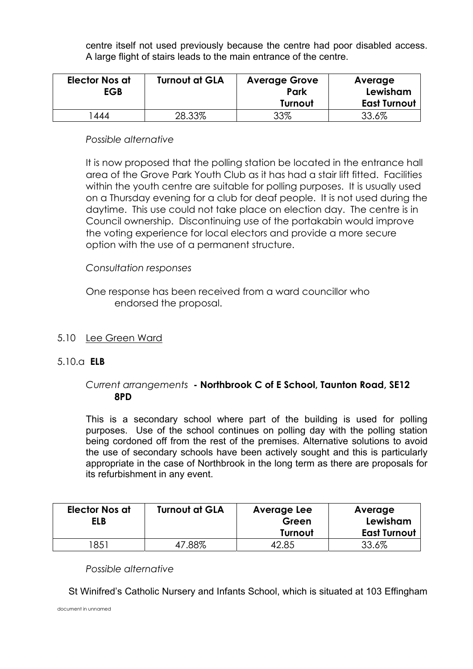centre itself not used previously because the centre had poor disabled access. A large flight of stairs leads to the main entrance of the centre.

| <b>Elector Nos at</b><br><b>EGB</b> | <b>Turnout at GLA</b> | <b>Average Grove</b><br>Park | Average<br>Lewisham |
|-------------------------------------|-----------------------|------------------------------|---------------------|
|                                     |                       | Turnout                      | <b>East Turnout</b> |
| 444                                 | 28.33%                | 33%                          | 33.6%               |

#### *Possible alternative*

 It is now proposed that the polling station be located in the entrance hall area of the Grove Park Youth Club as it has had a stair lift fitted. Facilities within the youth centre are suitable for polling purposes. It is usually used on a Thursday evening for a club for deaf people. It is not used during the daytime. This use could not take place on election day.The centre is in Council ownership. Discontinuing use of the portakabin would improve the voting experience for local electors and provide a more secure option with the use of a permanent structure.

#### *Consultation responses*

 One response has been received from a ward councillor who endorsed the proposal.

#### 5.10 Lee Green Ward

#### 5.10.a **ELB**

#### *Current arrangements* **- Northbrook C of E School, Taunton Road, SE12 8PD**

 This is a secondary school where part of the building is used for polling purposes. Use of the school continues on polling day with the polling station being cordoned off from the rest of the premises. Alternative solutions to avoid the use of secondary schools have been actively sought and this is particularly appropriate in the case of Northbrook in the long term as there are proposals for its refurbishment in any event.

| <b>Elector Nos at</b><br>ELB | <b>Turnout at GLA</b> | Average Lee<br>Green | Average<br>Lewisham |
|------------------------------|-----------------------|----------------------|---------------------|
|                              |                       | Turnout              | <b>East Turnout</b> |
| '85 i                        | 47.88%                | 2.85                 | 33.6%               |

 *Possible alternative* 

St Winifred's Catholic Nursery and Infants School, which is situated at 103 Effingham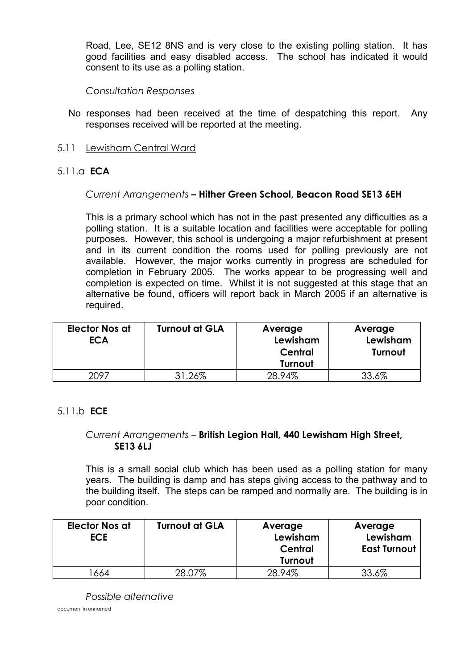Road, Lee, SE12 8NS and is very close to the existing polling station. It has good facilities and easy disabled access. The school has indicated it would consent to its use as a polling station.

 *Consultation Responses* 

- No responses had been received at the time of despatching this report. Any responses received will be reported at the meeting.
- 5.11 Lewisham Central Ward

#### 5.11.a **ECA**

#### *Current Arrangements* **– Hither Green School, Beacon Road SE13 6EH**

 This is a primary school which has not in the past presented any difficulties as a polling station. It is a suitable location and facilities were acceptable for polling purposes. However, this school is undergoing a major refurbishment at present and in its current condition the rooms used for polling previously are not available. However, the major works currently in progress are scheduled for completion in February 2005. The works appear to be progressing well and completion is expected on time. Whilst it is not suggested at this stage that an alternative be found, officers will report back in March 2005 if an alternative is required.

| <b>Elector Nos at</b><br><b>ECA</b> | <b>Turnout at GLA</b> | Average<br>Lewisham<br>Central<br>Turnout | Average<br>Lewisham<br>Turnout |
|-------------------------------------|-----------------------|-------------------------------------------|--------------------------------|
| 2097                                | 31.26%                | 28.94%                                    | 33.6%                          |

#### 5.11.b **ECE**

#### *Current Arrangements* – **British Legion Hall, 440 Lewisham High Street, SE13 6LJ**

 This is a small social club which has been used as a polling station for many years. The building is damp and has steps giving access to the pathway and to the building itself. The steps can be ramped and normally are. The building is in poor condition.

| <b>Elector Nos at</b><br><b>ECE</b> | <b>Turnout at GLA</b> | Average<br>Lewisham<br>Central<br>Turnout | Average<br>Lewisham<br><b>East Turnout</b> |
|-------------------------------------|-----------------------|-------------------------------------------|--------------------------------------------|
| 664                                 | 28.07%                | 28.94%                                    | 33.6%                                      |

 *Possible alternative*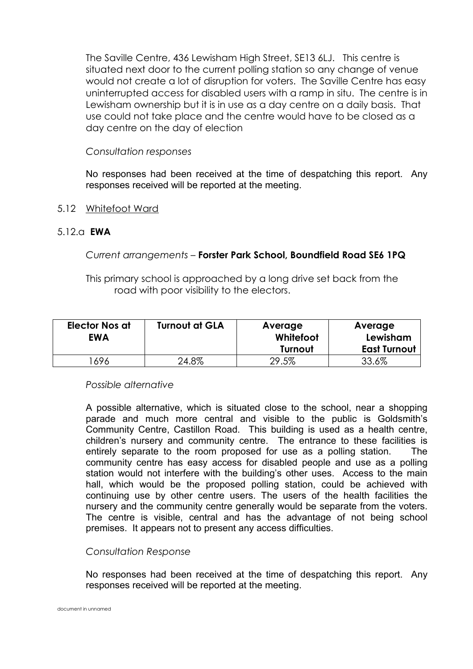The Saville Centre, 436 Lewisham High Street, SE13 6LJ. This centre is situated next door to the current polling station so any change of venue would not create a lot of disruption for voters. The Saville Centre has easy uninterrupted access for disabled users with a ramp in situ. The centre is in Lewisham ownership but it is in use as a day centre on a daily basis. That use could not take place and the centre would have to be closed as a day centre on the day of election

#### *Consultation responses*

 No responses had been received at the time of despatching this report. Any responses received will be reported at the meeting.

5.12 Whitefoot Ward

#### 5.12.a **EWA**

#### *Current arrangements –* **Forster Park School, Boundfield Road SE6 1PQ**

 This primary school is approached by a long drive set back from the road with poor visibility to the electors.

| <b>Elector Nos at</b><br><b>EWA</b> | <b>Turnout at GLA</b> | Average<br>Whitefoot<br>Turnout | Average<br>Lewisham<br><b>East Turnout</b> |
|-------------------------------------|-----------------------|---------------------------------|--------------------------------------------|
| 696                                 | 24.8%                 | 29.5%                           | 33.6%                                      |

#### *Possible alternative*

 A possible alternative, which is situated close to the school, near a shopping parade and much more central and visible to the public is Goldsmith's Community Centre, Castillon Road. This building is used as a health centre, children's nursery and community centre. The entrance to these facilities is entirely separate to the room proposed for use as a polling station. The community centre has easy access for disabled people and use as a polling station would not interfere with the building's other uses. Access to the main hall, which would be the proposed polling station, could be achieved with continuing use by other centre users. The users of the health facilities the nursery and the community centre generally would be separate from the voters. The centre is visible, central and has the advantage of not being school premises. It appears not to present any access difficulties.

#### *Consultation Response*

 No responses had been received at the time of despatching this report. Any responses received will be reported at the meeting.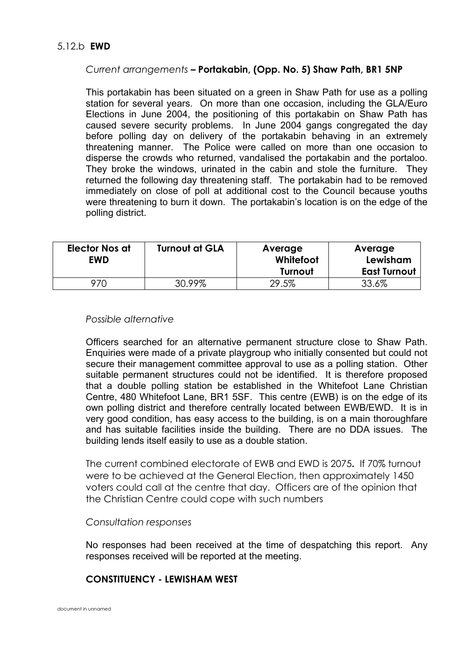#### *Current arrangements* **– Portakabin, (Opp. No. 5) Shaw Path, BR1 5NP**

 This portakabin has been situated on a green in Shaw Path for use as a polling station for several years. On more than one occasion, including the GLA/Euro Elections in June 2004, the positioning of this portakabin on Shaw Path has caused severe security problems. In June 2004 gangs congregated the day before polling day on delivery of the portakabin behaving in an extremely threatening manner. The Police were called on more than one occasion to disperse the crowds who returned, vandalised the portakabin and the portaloo. They broke the windows, urinated in the cabin and stole the furniture. They returned the following day threatening staff. The portakabin had to be removed immediately on close of poll at additional cost to the Council because youths were threatening to burn it down. The portakabin's location is on the edge of the polling district.

| <b>Elector Nos at</b><br><b>EWD</b> | <b>Turnout at GLA</b> | Average<br>Whitefoot<br>Turnout | Average<br>Lewisham<br><b>East Turnout</b> |
|-------------------------------------|-----------------------|---------------------------------|--------------------------------------------|
|                                     |                       |                                 |                                            |
| 970                                 | 30.99%                | 29.5%                           | 33.6%                                      |

#### *Possible alternative*

 Officers searched for an alternative permanent structure close to Shaw Path. Enquiries were made of a private playgroup who initially consented but could not secure their management committee approval to use as a polling station. Other suitable permanent structures could not be identified. It is therefore proposed that a double polling station be established in the Whitefoot Lane Christian Centre, 480 Whitefoot Lane, BR1 5SF. This centre (EWB) is on the edge of its own polling district and therefore centrally located between EWB/EWD. It is in very good condition, has easy access to the building, is on a main thoroughfare and has suitable facilities inside the building. There are no DDA issues. The building lends itself easily to use as a double station.

 The current combined electorate of EWB and EWD is 2075**.** If 70% turnout were to be achieved at the General Election, then approximately 1450 voters could call at the centre that day. Officers are of the opinion that the Christian Centre could cope with such numbers

#### *Consultation responses*

 No responses had been received at the time of despatching this report. Any responses received will be reported at the meeting.

#### **CONSTITUENCY - LEWISHAM WEST**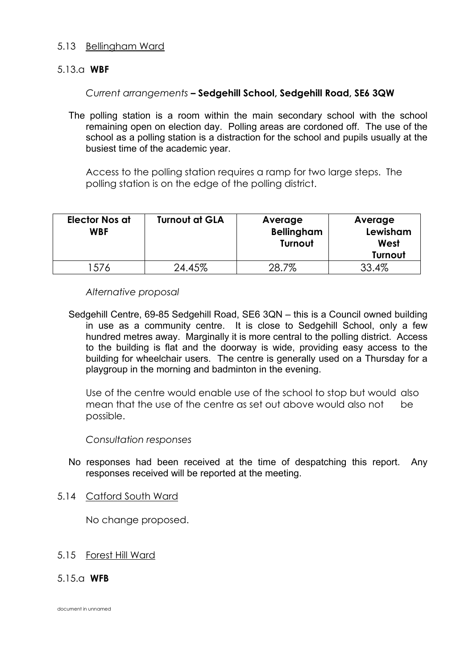#### 5.13 Bellingham Ward

#### 5.13.a **WBF**

#### *Current arrangements* **– Sedgehill School, Sedgehill Road, SE6 3QW**

 The polling station is a room within the main secondary school with the school remaining open on election day. Polling areas are cordoned off. The use of the school as a polling station is a distraction for the school and pupils usually at the busiest time of the academic year.

 Access to the polling station requires a ramp for two large steps. The polling station is on the edge of the polling district.

| <b>Elector Nos at</b><br><b>WBF</b> | <b>Turnout at GLA</b> | Average<br><b>Bellingham</b><br>Turnout | Average<br>Lewisham<br>West<br>Turnout |
|-------------------------------------|-----------------------|-----------------------------------------|----------------------------------------|
| '576                                | 24.45%                | 7%                                      | 33.4%                                  |

#### *Alternative proposal*

 Sedgehill Centre, 69-85 Sedgehill Road, SE6 3QN – this is a Council owned building in use as a community centre. It is close to Sedgehill School, only a few hundred metres away. Marginally it is more central to the polling district. Access to the building is flat and the doorway is wide, providing easy access to the building for wheelchair users. The centre is generally used on a Thursday for a playgroup in the morning and badminton in the evening.

 Use of the centre would enable use of the school to stop but would also mean that the use of the centre as set out above would also not be possible.

#### *Consultation responses*

 No responses had been received at the time of despatching this report. Any responses received will be reported at the meeting.

#### 5.14 Catford South Ward

No change proposed.

#### 5.15 Forest Hill Ward

#### 5.15.a **WFB**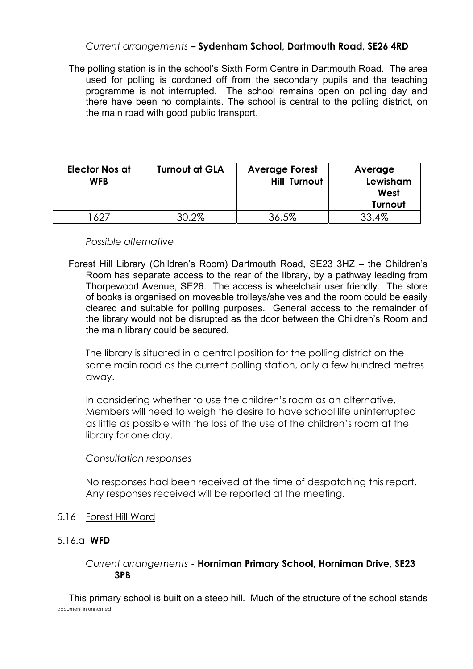#### *Current arrangements* **– Sydenham School, Dartmouth Road, SE26 4RD**

 The polling station is in the school's Sixth Form Centre in Dartmouth Road. The area used for polling is cordoned off from the secondary pupils and the teaching programme is not interrupted. The school remains open on polling day and there have been no complaints. The school is central to the polling district, on the main road with good public transport.

| <b>Elector Nos at</b><br><b>WFB</b> | <b>Turnout at GLA</b> | <b>Average Forest</b><br><b>Hill Turnout</b> | Average<br>Lewisham<br>West<br>Turnout |
|-------------------------------------|-----------------------|----------------------------------------------|----------------------------------------|
| LA 27                               | 30.2%                 | 36.5%                                        | 33.4%                                  |

#### *Possible alternative*

 Forest Hill Library (Children's Room) Dartmouth Road, SE23 3HZ – the Children's Room has separate access to the rear of the library, by a pathway leading from Thorpewood Avenue, SE26. The access is wheelchair user friendly. The store of books is organised on moveable trolleys/shelves and the room could be easily cleared and suitable for polling purposes. General access to the remainder of the library would not be disrupted as the door between the Children's Room and the main library could be secured.

 The library is situated in a central position for the polling district on the same main road as the current polling station, only a few hundred metres away.

 In considering whether to use the children's room as an alternative, Members will need to weigh the desire to have school life uninterrupted as little as possible with the loss of the use of the children's room at the library for one day.

#### *Consultation responses*

 No responses had been received at the time of despatching this report. Any responses received will be reported at the meeting.

- 5.16 Forest Hill Ward
- 5.16.a **WFD**

#### *Current arrangements* **- Horniman Primary School, Horniman Drive, SE23 3PB**

document in unnamed This primary school is built on a steep hill. Much of the structure of the school stands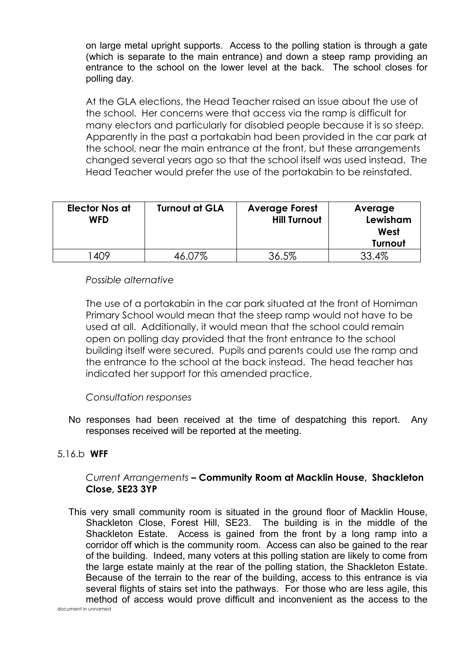on large metal upright supports. Access to the polling station is through a gate (which is separate to the main entrance) and down a steep ramp providing an entrance to the school on the lower level at the back. The school closes for polling day.

 At the GLA elections, the Head Teacher raised an issue about the use of the school. Her concerns were that access via the ramp is difficult for many electors and particularly for disabled people because it is so steep. Apparently in the past a portakabin had been provided in the car park at the school, near the main entrance at the front, but these arrangements changed several years ago so that the school itself was used instead. The Head Teacher would prefer the use of the portakabin to be reinstated.

| <b>Elector Nos at</b><br><b>WFD</b> | <b>Turnout at GLA</b> | <b>Average Forest</b><br><b>Hill Turnout</b> | Average<br>Lewisham<br>West<br><b>Turnout</b> |
|-------------------------------------|-----------------------|----------------------------------------------|-----------------------------------------------|
| 409                                 |                       | 36.5%                                        | .4%                                           |

#### *Possible alternative*

 The use of a portakabin in the car park situated at the front of Horniman Primary School would mean that the steep ramp would not have to be used at all. Additionally, it would mean that the school could remain open on polling day provided that the front entrance to the school building itself were secured. Pupils and parents could use the ramp and the entrance to the school at the back instead. The head teacher has indicated her support for this amended practice.

#### *Consultation responses*

 No responses had been received at the time of despatching this report. Any responses received will be reported at the meeting.

#### 5.16.b **WFF**

#### *Current Arrangements* **– Community Room at Macklin House, Shackleton Close, SE23 3YP**

 This very small community room is situated in the ground floor of Macklin House, Shackleton Close, Forest Hill, SE23. The building is in the middle of the Shackleton Estate. Access is gained from the front by a long ramp into a corridor off which is the community room. Access can also be gained to the rear of the building. Indeed, many voters at this polling station are likely to come from the large estate mainly at the rear of the polling station, the Shackleton Estate. Because of the terrain to the rear of the building, access to this entrance is via several flights of stairs set into the pathways. For those who are less agile, this method of access would prove difficult and inconvenient as the access to the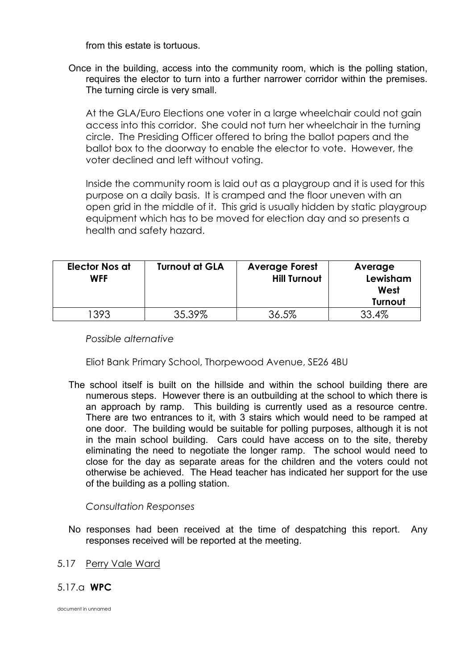from this estate is tortuous.

 Once in the building, access into the community room, which is the polling station, requires the elector to turn into a further narrower corridor within the premises. The turning circle is very small.

 At the GLA/Euro Elections one voter in a large wheelchair could not gain access into this corridor. She could not turn her wheelchair in the turning circle. The Presiding Officer offered to bring the ballot papers and the ballot box to the doorway to enable the elector to vote. However, the voter declined and left without voting.

 Inside the community room is laid out as a playgroup and it is used for this purpose on a daily basis. It is cramped and the floor uneven with an open grid in the middle of it. This grid is usually hidden by static playgroup equipment which has to be moved for election day and so presents a health and safety hazard.

| <b>Elector Nos at</b><br><b>WFF</b> | <b>Turnout at GLA</b> | <b>Average Forest</b><br><b>Hill Turnout</b> | Average<br>Lewisham<br>West<br>Turnout |
|-------------------------------------|-----------------------|----------------------------------------------|----------------------------------------|
| 1393                                | 35.39%                | 36.5%                                        | 33.4%                                  |

 *Possible alternative* 

Eliot Bank Primary School, Thorpewood Avenue, SE26 4BU

 The school itself is built on the hillside and within the school building there are numerous steps. However there is an outbuilding at the school to which there is an approach by ramp. This building is currently used as a resource centre. There are two entrances to it, with 3 stairs which would need to be ramped at one door. The building would be suitable for polling purposes, although it is not in the main school building. Cars could have access on to the site, thereby eliminating the need to negotiate the longer ramp. The school would need to close for the day as separate areas for the children and the voters could not otherwise be achieved. The Head teacher has indicated her support for the use of the building as a polling station.

 *Consultation Responses* 

 No responses had been received at the time of despatching this report. Any responses received will be reported at the meeting.

#### 5.17 Perry Vale Ward

#### 5.17.a **WPC**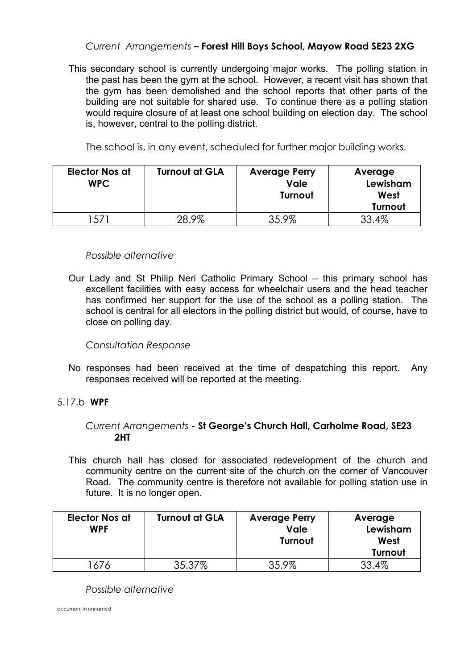#### *Current Arrangements* **– Forest Hill Boys School, Mayow Road SE23 2XG**

 This secondary school is currently undergoing major works. The polling station in the past has been the gym at the school. However, a recent visit has shown that the gym has been demolished and the school reports that other parts of the building are not suitable for shared use. To continue there as a polling station would require closure of at least one school building on election day. The school is, however, central to the polling district.

The school is, in any event, scheduled for further major building works.

| <b>Elector Nos at</b><br><b>WPC</b> | <b>Turnout at GLA</b> | <b>Average Perry</b><br>Vale<br>Turnout | Average<br>Lewisham<br>West<br>Turnout |
|-------------------------------------|-----------------------|-----------------------------------------|----------------------------------------|
| 57                                  | 28.9%                 | 35.9%                                   | 33.4%                                  |

#### *Possible alternative*

 Our Lady and St Philip Neri Catholic Primary School – this primary school has excellent facilities with easy access for wheelchair users and the head teacher has confirmed her support for the use of the school as a polling station. The school is central for all electors in the polling district but would, of course, have to close on polling day.

#### *Consultation Response*

 No responses had been received at the time of despatching this report. Any responses received will be reported at the meeting.

#### 5.17.b **WPF**

#### *Current Arrangements* **- St George's Church Hall, Carholme Road, SE23 2HT**

 This church hall has closed for associated redevelopment of the church and community centre on the current site of the church on the corner of Vancouver Road. The community centre is therefore not available for polling station use in future. It is no longer open.

| <b>Elector Nos at</b><br><b>WPF</b> | <b>Turnout at GLA</b> | <b>Average Perry</b><br>Vale<br>Turnout | Average<br>Lewisham<br>West<br>Turnout |
|-------------------------------------|-----------------------|-----------------------------------------|----------------------------------------|
|                                     | 35.37%                | 35.9%                                   | 33.4%                                  |

 *Possible alternative*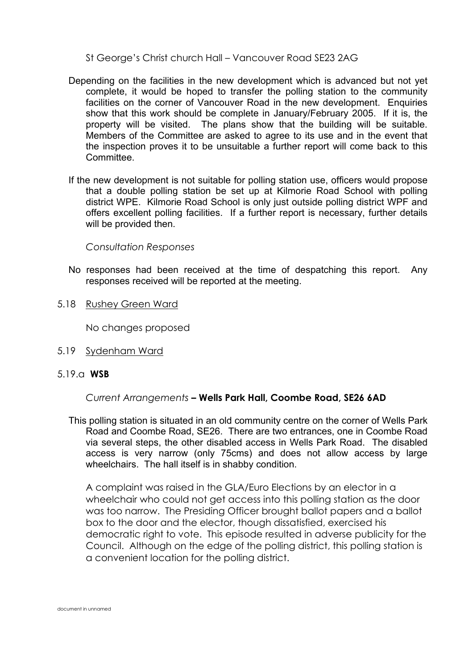St George's Christ church Hall – Vancouver Road SE23 2AG

- Depending on the facilities in the new development which is advanced but not yet complete, it would be hoped to transfer the polling station to the community facilities on the corner of Vancouver Road in the new development. Enquiries show that this work should be complete in January/February 2005. If it is, the property will be visited. The plans show that the building will be suitable. Members of the Committee are asked to agree to its use and in the event that the inspection proves it to be unsuitable a further report will come back to this **Committee.**
- If the new development is not suitable for polling station use, officers would propose that a double polling station be set up at Kilmorie Road School with polling district WPE. Kilmorie Road School is only just outside polling district WPF and offers excellent polling facilities. If a further report is necessary, further details will be provided then.

 *Consultation Responses* 

- No responses had been received at the time of despatching this report. Any responses received will be reported at the meeting.
- 5.18 Rushey Green Ward

No changes proposed

- 5.19 Sydenham Ward
- 5.19.a **WSB**

#### *Current Arrangements* **– Wells Park Hall, Coombe Road, SE26 6AD**

 This polling station is situated in an old community centre on the corner of Wells Park Road and Coombe Road, SE26. There are two entrances, one in Coombe Road via several steps, the other disabled access in Wells Park Road. The disabled access is very narrow (only 75cms) and does not allow access by large wheelchairs. The hall itself is in shabby condition.

 A complaint was raised in the GLA/Euro Elections by an elector in a wheelchair who could not get access into this polling station as the door was too narrow. The Presiding Officer brought ballot papers and a ballot box to the door and the elector, though dissatisfied, exercised his democratic right to vote. This episode resulted in adverse publicity for the Council. Although on the edge of the polling district, this polling station is a convenient location for the polling district.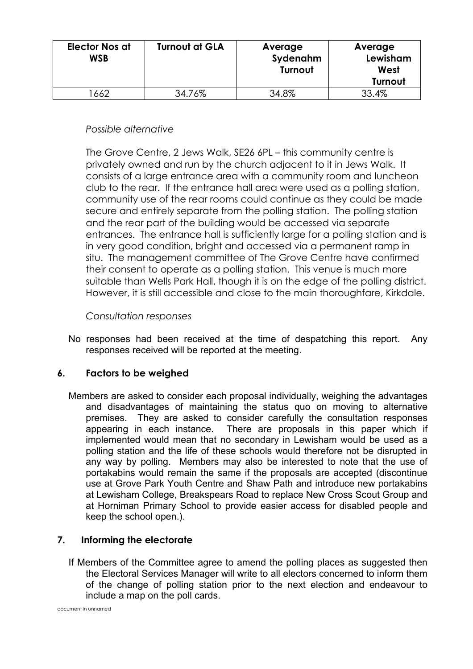| <b>Elector Nos at</b><br><b>WSB</b> | <b>Turnout at GLA</b> | Average<br>Sydenahm<br>Turnout | Average<br>Lewisham<br>West<br>Turnout |
|-------------------------------------|-----------------------|--------------------------------|----------------------------------------|
| 1662                                | 34.76%                | 34.8%                          | 33.4%                                  |

#### *Possible alternative*

 The Grove Centre, 2 Jews Walk, SE26 6PL – this community centre is privately owned and run by the church adjacent to it in Jews Walk. It consists of a large entrance area with a community room and luncheon club to the rear. If the entrance hall area were used as a polling station, community use of the rear rooms could continue as they could be made secure and entirely separate from the polling station. The polling station and the rear part of the building would be accessed via separate entrances. The entrance hall is sufficiently large for a polling station and is in very good condition, bright and accessed via a permanent ramp in situ. The management committee of The Grove Centre have confirmed their consent to operate as a polling station. This venue is much more suitable than Wells Park Hall, though it is on the edge of the polling district. However, it is still accessible and close to the main thoroughfare, Kirkdale.

#### *Consultation responses*

 No responses had been received at the time of despatching this report. Any responses received will be reported at the meeting.

#### **6. Factors to be weighed**

 Members are asked to consider each proposal individually, weighing the advantages and disadvantages of maintaining the status quo on moving to alternative premises. They are asked to consider carefully the consultation responses appearing in each instance. There are proposals in this paper which if implemented would mean that no secondary in Lewisham would be used as a polling station and the life of these schools would therefore not be disrupted in any way by polling. Members may also be interested to note that the use of portakabins would remain the same if the proposals are accepted (discontinue use at Grove Park Youth Centre and Shaw Path and introduce new portakabins at Lewisham College, Breakspears Road to replace New Cross Scout Group and at Horniman Primary School to provide easier access for disabled people and keep the school open.).

#### **7. Informing the electorate**

 If Members of the Committee agree to amend the polling places as suggested then the Electoral Services Manager will write to all electors concerned to inform them of the change of polling station prior to the next election and endeavour to include a map on the poll cards.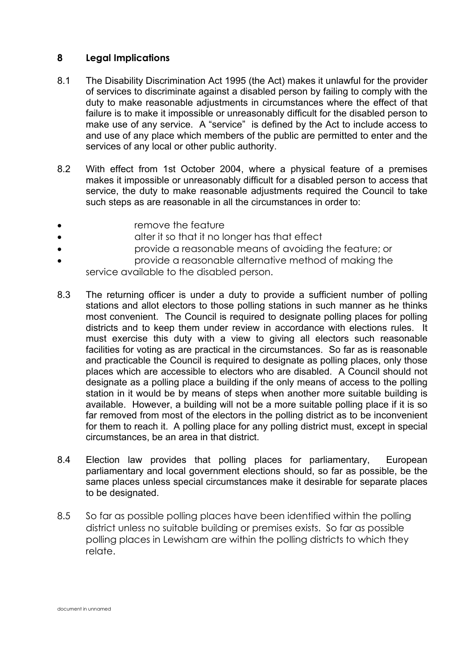#### **8 Legal Implications**

- 8.1 The Disability Discrimination Act 1995 (the Act) makes it unlawful for the provider of services to discriminate against a disabled person by failing to comply with the duty to make reasonable adjustments in circumstances where the effect of that failure is to make it impossible or unreasonably difficult for the disabled person to make use of any service. A "service" is defined by the Act to include access to and use of any place which members of the public are permitted to enter and the services of any local or other public authority.
- 8.2 With effect from 1st October 2004, where a physical feature of a premises makes it impossible or unreasonably difficult for a disabled person to access that service, the duty to make reasonable adjustments required the Council to take such steps as are reasonable in all the circumstances in order to:
- remove the feature
- **alter it so that it no longer has that effect**
- provide a reasonable means of avoiding the feature; or
- provide a reasonable alternative method of making the service available to the disabled person.
- 8.3 The returning officer is under a duty to provide a sufficient number of polling stations and allot electors to those polling stations in such manner as he thinks most convenient. The Council is required to designate polling places for polling districts and to keep them under review in accordance with elections rules. It must exercise this duty with a view to giving all electors such reasonable facilities for voting as are practical in the circumstances. So far as is reasonable and practicable the Council is required to designate as polling places, only those places which are accessible to electors who are disabled. A Council should not designate as a polling place a building if the only means of access to the polling station in it would be by means of steps when another more suitable building is available. However, a building will not be a more suitable polling place if it is so far removed from most of the electors in the polling district as to be inconvenient for them to reach it. A polling place for any polling district must, except in special circumstances, be an area in that district.
- 8.4 Election law provides that polling places for parliamentary, European parliamentary and local government elections should, so far as possible, be the same places unless special circumstances make it desirable for separate places to be designated.
- 8.5 So far as possible polling places have been identified within the polling district unless no suitable building or premises exists. So far as possible polling places in Lewisham are within the polling districts to which they relate.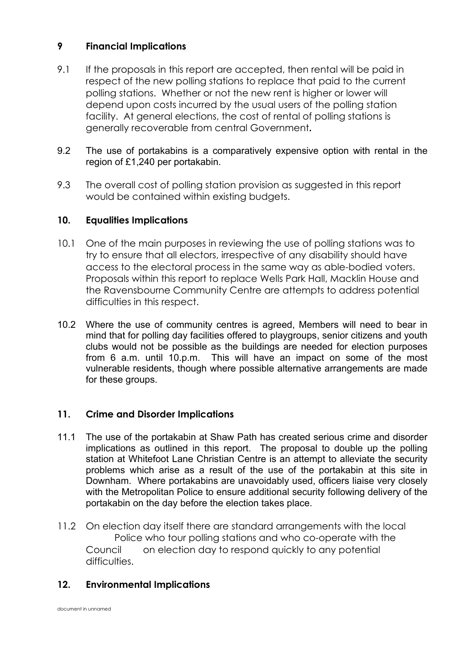#### **9 Financial Implications**

- 9.1 If the proposals in this report are accepted, then rental will be paid in respect of the new polling stations to replace that paid to the current polling stations. Whether or not the new rent is higher or lower will depend upon costs incurred by the usual users of the polling station facility. At general elections, the cost of rental of polling stations is generally recoverable from central Government**.**
- 9.2 The use of portakabins is a comparatively expensive option with rental in the region of £1,240 per portakabin.
- 9.3 The overall cost of polling station provision as suggested in this report would be contained within existing budgets.

#### **10. Equalities Implications**

- 10.1 One of the main purposes in reviewing the use of polling stations was to try to ensure that all electors, irrespective of any disability should have access to the electoral process in the same way as able-bodied voters. Proposals within this report to replace Wells Park Hall, Macklin House and the Ravensbourne Community Centre are attempts to address potential difficulties in this respect.
- 10.2 Where the use of community centres is agreed, Members will need to bear in mind that for polling day facilities offered to playgroups, senior citizens and youth clubs would not be possible as the buildings are needed for election purposes from 6 a.m. until 10.p.m. This will have an impact on some of the most vulnerable residents, though where possible alternative arrangements are made for these groups.

#### **11. Crime and Disorder Implications**

- 11.1 The use of the portakabin at Shaw Path has created serious crime and disorder implications as outlined in this report. The proposal to double up the polling station at Whitefoot Lane Christian Centre is an attempt to alleviate the security problems which arise as a result of the use of the portakabin at this site in Downham. Where portakabins are unavoidably used, officers liaise very closely with the Metropolitan Police to ensure additional security following delivery of the portakabin on the day before the election takes place.
- 11.2 On election day itself there are standard arrangements with the local Police who tour polling stations and who co-operate with the Council on election day to respond quickly to any potential difficulties.

#### **12. Environmental Implications**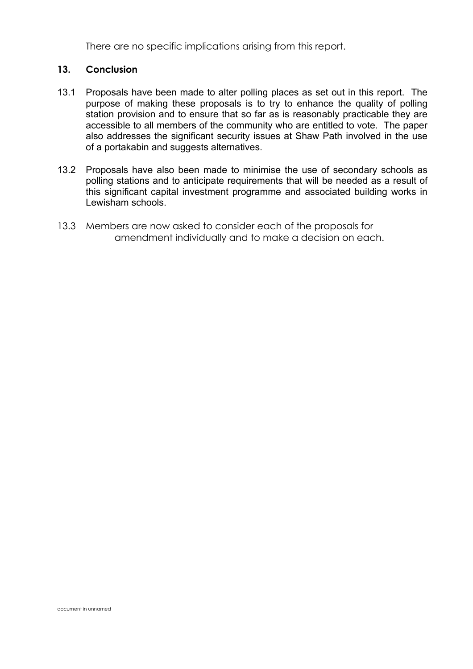There are no specific implications arising from this report.

#### **13. Conclusion**

- 13.1 Proposals have been made to alter polling places as set out in this report. The purpose of making these proposals is to try to enhance the quality of polling station provision and to ensure that so far as is reasonably practicable they are accessible to all members of the community who are entitled to vote. The paper also addresses the significant security issues at Shaw Path involved in the use of a portakabin and suggests alternatives.
- 13.2 Proposals have also been made to minimise the use of secondary schools as polling stations and to anticipate requirements that will be needed as a result of this significant capital investment programme and associated building works in Lewisham schools.
- 13.3 Members are now asked to consider each of the proposals for amendment individually and to make a decision on each.